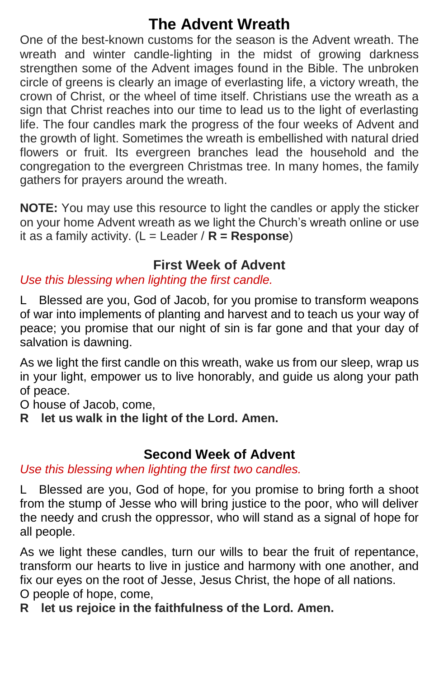# **The Advent Wreath**

One of the best-known customs for the season is the Advent wreath. The wreath and winter candle-lighting in the midst of growing darkness strengthen some of the Advent images found in the Bible. The unbroken circle of greens is clearly an image of everlasting life, a victory wreath, the crown of Christ, or the wheel of time itself. Christians use the wreath as a sign that Christ reaches into our time to lead us to the light of everlasting life. The four candles mark the progress of the four weeks of Advent and the growth of light. Sometimes the wreath is embellished with natural dried flowers or fruit. Its evergreen branches lead the household and the congregation to the evergreen Christmas tree. In many homes, the family gathers for prayers around the wreath.

**NOTE:** You may use this resource to light the candles or apply the sticker on your home Advent wreath as we light the Church's wreath online or use it as a family activity. (L = Leader / **R = Response**)

# **First Week of Advent**

# *Use this blessing when lighting the first candle.*

L Blessed are you, God of Jacob, for you promise to transform weapons of war into implements of planting and harvest and to teach us your way of peace; you promise that our night of sin is far gone and that your day of salvation is dawning.

As we light the first candle on this wreath, wake us from our sleep, wrap us in your light, empower us to live honorably, and guide us along your path of peace.

O house of Jacob, come,

**R let us walk in the light of the Lord. Amen.**

## **Second Week of Advent**

*Use this blessing when lighting the first two candles.*

L Blessed are you, God of hope, for you promise to bring forth a shoot from the stump of Jesse who will bring justice to the poor, who will deliver the needy and crush the oppressor, who will stand as a signal of hope for all people.

As we light these candles, turn our wills to bear the fruit of repentance, transform our hearts to live in justice and harmony with one another, and fix our eyes on the root of Jesse, Jesus Christ, the hope of all nations. O people of hope, come,

**R let us rejoice in the faithfulness of the Lord. Amen.**